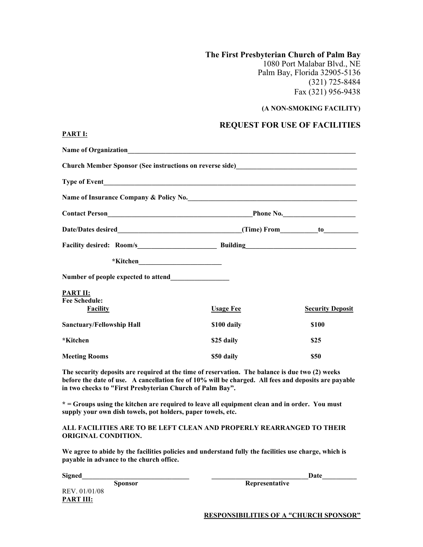**The First Presbyterian Church of Palm Bay** 1080 Port Malabar Blvd., NE Palm Bay, Florida 32905-5136 (321) 725-8484 Fax (321) 956-9438

## **(A NON-SMOKING FACILITY)**

## **REQUEST FOR USE OF FACILITIES**

| Church Member Sponsor (See instructions on reverse side) ________________________                                                                                                                                                                                    |                  |                         |
|----------------------------------------------------------------------------------------------------------------------------------------------------------------------------------------------------------------------------------------------------------------------|------------------|-------------------------|
|                                                                                                                                                                                                                                                                      |                  |                         |
| Name of Insurance Company & Policy No.                                                                                                                                                                                                                               |                  |                         |
|                                                                                                                                                                                                                                                                      |                  |                         |
|                                                                                                                                                                                                                                                                      |                  |                         |
|                                                                                                                                                                                                                                                                      |                  |                         |
|                                                                                                                                                                                                                                                                      |                  |                         |
|                                                                                                                                                                                                                                                                      |                  |                         |
| <b>PART II:</b><br><b>Fee Schedule:</b>                                                                                                                                                                                                                              |                  |                         |
| <b>Facility</b>                                                                                                                                                                                                                                                      | <b>Usage Fee</b> | <b>Security Deposit</b> |
| <b>Sanctuary/Fellowship Hall</b>                                                                                                                                                                                                                                     | \$100 daily      | <b>\$100</b>            |
| *Kitchen                                                                                                                                                                                                                                                             | \$25 daily       | \$25                    |
| <b>Meeting Rooms</b>                                                                                                                                                                                                                                                 | \$50 daily       | \$50                    |
| The security deposits are required at the time of reservation. The balance is due two (2) weeks<br>before the date of use. A cancellation fee of 10% will be charged. All fees and deposits are payable<br>in two checks to "First Presbyterian Church of Palm Bay". |                  |                         |

**\* = Groups using the kitchen are required to leave all equipment clean and in order. You must supply your own dish towels, pot holders, paper towels, etc.**

## **ALL FACILITIES ARE TO BE LEFT CLEAN AND PROPERLY REARRANGED TO THEIR ORIGINAL CONDITION.**

**We agree to abide by the facilities policies and understand fully the facilities use charge, which is payable in advance to the church office.**

**Signed** Date **Date** 

REV. 01/01/08 **PART III:**

**PART I:**

**Sponsor Representative** 

**RESPONSIBILITIES OF A "CHURCH SPONSOR"**